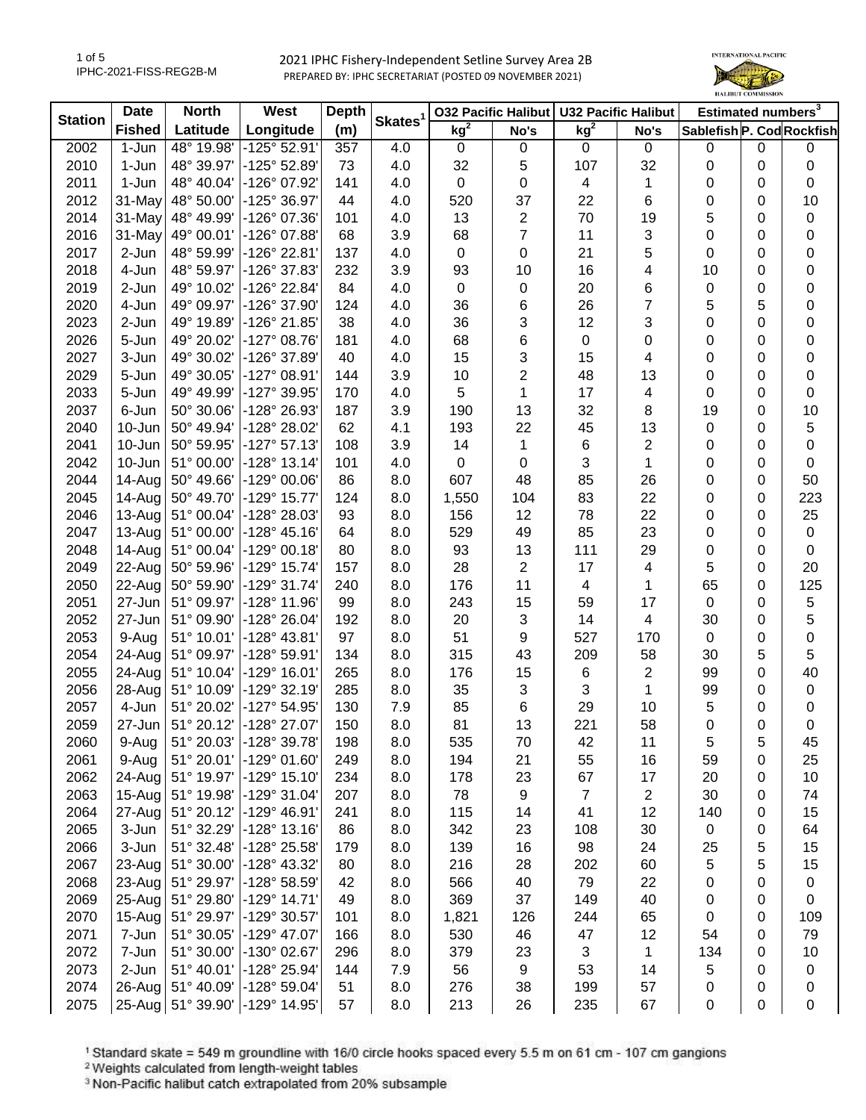1 of 5 IPHC-2021-FISS-REG2B-M



| kg <sup>2</sup><br>kg <sup>2</sup><br>Longitude<br><b>Fished</b><br>Latitude<br>(m)<br>Sablefish P. Cod Rockfish<br>No's<br>No's<br>2002<br>1-Jun<br>48° 19.98'<br>-125° 52.91'<br>4.0<br>357<br>0<br>$\pmb{0}$<br>0<br>0<br>$\mathbf 0$<br>0<br>0<br>2010<br>1-Jun<br>48° 39.97'<br>-125° 52.89'<br>4.0<br>32<br>5<br>32<br>$\pmb{0}$<br>73<br>107<br>0<br>0<br>2011<br>1-Jun<br>48° 40.04'<br>-126° 07.92'<br>141<br>4.0<br>0<br>0<br>4<br>0<br>0<br>$\pmb{0}$<br>1<br>2012<br>31-May<br>48° 50.00'<br>-125° 36.97'<br>37<br>22<br>6<br>0<br>10<br>44<br>4.0<br>520<br>0<br>2014<br>31-May<br>48° 49.99'<br>-126° 07.36'<br>13<br>$\mathbf{2}$<br>70<br>19<br>5<br>$\pmb{0}$<br>101<br>4.0<br>0<br>$\overline{7}$<br>2016<br>31-May<br>49° 00.01'<br>-126° 07.88'<br>3.9<br>68<br>11<br>3<br>0<br>0<br>0<br>68<br>5<br>2-Jun<br>$-126°22.81'$<br>$\pmb{0}$<br>0<br>21<br>0<br>0<br>0<br>2017<br>48° 59.99'<br>137<br>4.0<br>2018<br>4-Jun<br>48° 59.97'<br>-126° 37.83'<br>232<br>3.9<br>93<br>10<br>16<br>4<br>10<br>0<br>$\pmb{0}$<br>6<br>2019<br>2-Jun<br>49° 10.02'<br>-126° 22.84'<br>84<br>4.0<br>20<br>$\pmb{0}$<br>0<br>$\pmb{0}$<br>$\mathbf 0$<br>0<br>7<br>5<br>5<br>2020<br>4-Jun<br>49° 09.97'<br>-126° 37.90'<br>124<br>4.0<br>36<br>6<br>26<br>$\pmb{0}$<br>3<br>3<br>0<br>2023<br>-126° 21.85'<br>38<br>4.0<br>36<br>12<br>0<br>$\pmb{0}$<br>2-Jun<br>49° 19.89'<br>6<br>2026<br>5-Jun<br>49° 20.02'<br>$-127°08.76'$<br>4.0<br>68<br>0<br>0<br>0<br>181<br>0<br>0<br>3<br>2027<br>3-Jun<br>49° 30.02'<br>-126° 37.89'<br>40<br>4.0<br>15<br>15<br>0<br>4<br>0<br>0<br>$\mathbf{2}$<br>2029<br>5-Jun<br>-127° 08.91'<br>3.9<br>10<br>48<br>13<br>0<br>$\pmb{0}$<br>49° 30.05'<br>144<br>0<br>2033<br>5-Jun<br>5<br>17<br>$\pmb{0}$<br>49° 49.99'<br>-127° 39.95'<br>170<br>4.0<br>1<br>4<br>0<br>0<br>2037<br>6-Jun<br>50° 30.06'<br>-128° 26.93'<br>3.9<br>13<br>32<br>19<br>0<br>10<br>187<br>190<br>8<br>5<br>2040<br>10-Jun<br>50° 49.94'<br>-128° 28.02'<br>62<br>4.1<br>22<br>45<br>13<br>193<br>$\mathbf 0$<br>0<br>2041<br>10-Jun<br>50° 59.95'<br>$-127°57.13'$<br>14<br>6<br>2<br>$\pmb{0}$<br>108<br>3.9<br>1<br>0<br>0<br>2042<br>10-Jun<br>51° 00.00'<br>$-128°$ 13.14'<br>3<br>$\pmb{0}$<br>101<br>4.0<br>0<br>0<br>1<br>0<br>0<br>2044<br>14-Aug<br>50° 49.66'<br>-129° 00.06'<br>86<br>607<br>48<br>85<br>50<br>8.0<br>26<br>0<br>0<br>22<br>2045<br>14-Aug<br>50° 49.70'<br>-129° 15.77'<br>83<br>223<br>124<br>8.0<br>1,550<br>104<br>0<br>0<br>22<br>25<br>2046<br>13-Aug<br>51° 00.04'<br>-128° 28.03'<br>93<br>8.0<br>12<br>78<br>0<br>0<br>156<br>$\pmb{0}$<br>2047<br>13-Aug<br>-128° 45.16'<br>8.0<br>49<br>85<br>23<br>0<br>0<br>51° 00.00'<br>64<br>529<br>93<br>13<br>2048<br>14-Aug<br>51° 00.04'<br>-129° 00.18'<br>80<br>8.0<br>111<br>29<br>0<br>0<br>$\pmb{0}$<br>$\overline{2}$<br>5<br>2049<br>-129° 15.74'<br>8.0<br>28<br>17<br>4<br>0<br>20<br>22-Aug<br>50° 59.96'<br>157<br>11<br>125<br>2050<br>22-Aug<br>50° 59.90'<br>-129° 31.74'<br>8.0<br>176<br>4<br>1<br>65<br>0<br>240<br>$\mathbf 5$<br>2051<br>27-Jun<br>51° 09.97'<br>$-128°11.96'$<br>8.0<br>243<br>15<br>17<br>$\pmb{0}$<br>0<br>99<br>59<br>5<br>3<br>2052<br>27-Jun<br>-128° 26.04'<br>8.0<br>20<br>14<br>$\overline{\mathbf{4}}$<br>51° 09.90'<br>192<br>30<br>0<br>$\mathbf 0$<br>51<br>2053<br>51° 10.01'<br>$-128° 43.81'$<br>97<br>8.0<br>9<br>527<br>170<br>9-Aug<br>$\mathbf 0$<br>0<br>5<br>5<br>2054<br>24-Aug<br>-128° 59.91'<br>8.0<br>315<br>43<br>209<br>58<br>51° 09.97'<br>134<br>30<br>40<br>2055<br>-129° 16.01'<br>15<br>2<br>0<br>24-Aug<br>51° 10.04'<br>265<br>8.0<br>176<br>6<br>99<br>35<br>3<br>3<br>$\pmb{0}$<br>2056<br>28-Aug<br>51° 10.09'<br>-129° 32.19'<br>285<br>8.0<br>1<br>99<br>0<br>2057<br>-127° 54.95'<br>85<br>6<br>29<br>4-Jun<br>51° 20.02'<br>130<br>7.9<br>10<br>5<br>0<br>0<br>2059<br>51° 20.12'<br>-128° 27.07'<br>150<br>8.0<br>81<br>13<br>221<br>58<br>0<br>0<br>27-Jun<br>0<br>2060<br>51° 20.03'<br>-128° 39.78'<br>8.0<br>535<br>70<br>9-Aug<br>198<br>42<br>11<br>5<br>5<br>45<br>9-Aug<br>51° 20.01'<br>21<br>55<br>25<br>2061<br>-129° 01.60'<br>249<br>8.0<br>194<br>16<br>59<br>0<br>2062<br>$24 - Aug$<br>51° 19.97'<br>23<br>67<br>10<br>$-129°$ 15.10<br>234<br>8.0<br>178<br>17<br>20<br>0<br>2063<br>$15-Aug$<br>51° 19.98'<br>9<br>$\overline{7}$<br>74<br>-129° 31.04'<br>207<br>8.0<br>78<br>$\overline{2}$<br>30<br>0<br>2064<br>27-Aug<br>-129° 46.91'<br>8.0<br>14<br>12<br>15<br>51° 20.12'<br>241<br>115<br>41<br>140<br>0<br>2065<br>3-Jun<br>8.0<br>23<br>30<br>$\pmb{0}$<br>64<br>51° 32.29'<br>$-128°13.16'$<br>86<br>342<br>108<br>0<br>5<br>2066<br>3-Jun<br>51° 32.48'<br>-128° 25.58'<br>8.0<br>139<br>16<br>98<br>24<br>15<br>179<br>25 | <b>Station</b> | <b>Date</b> | <b>North</b> | West         | <b>Depth</b> |                     |     | <b>032 Pacific Halibut</b> | <b>U32 Pacific Halibut</b> |    | Estimated numbers <sup>3</sup> |   |    |
|--------------------------------------------------------------------------------------------------------------------------------------------------------------------------------------------------------------------------------------------------------------------------------------------------------------------------------------------------------------------------------------------------------------------------------------------------------------------------------------------------------------------------------------------------------------------------------------------------------------------------------------------------------------------------------------------------------------------------------------------------------------------------------------------------------------------------------------------------------------------------------------------------------------------------------------------------------------------------------------------------------------------------------------------------------------------------------------------------------------------------------------------------------------------------------------------------------------------------------------------------------------------------------------------------------------------------------------------------------------------------------------------------------------------------------------------------------------------------------------------------------------------------------------------------------------------------------------------------------------------------------------------------------------------------------------------------------------------------------------------------------------------------------------------------------------------------------------------------------------------------------------------------------------------------------------------------------------------------------------------------------------------------------------------------------------------------------------------------------------------------------------------------------------------------------------------------------------------------------------------------------------------------------------------------------------------------------------------------------------------------------------------------------------------------------------------------------------------------------------------------------------------------------------------------------------------------------------------------------------------------------------------------------------------------------------------------------------------------------------------------------------------------------------------------------------------------------------------------------------------------------------------------------------------------------------------------------------------------------------------------------------------------------------------------------------------------------------------------------------------------------------------------------------------------------------------------------------------------------------------------------------------------------------------------------------------------------------------------------------------------------------------------------------------------------------------------------------------------------------------------------------------------------------------------------------------------------------------------------------------------------------------------------------------------------------------------------------------------------------------------------------------------------------------------------------------------------------------------------------------------------------------------------------------------------------------------------------------------------------------------------------------------------------------------------------------------------------------------------------------------------------------------------------------------------------------------------------------------------------------------------------------------------------------------------------------------------------------------------------------------------------------------------------------------------------------------------------------------------------------------------------------------------------------------------------------------------------------------------------------------------------------------------------------------------------------------------------------------------------------------|----------------|-------------|--------------|--------------|--------------|---------------------|-----|----------------------------|----------------------------|----|--------------------------------|---|----|
|                                                                                                                                                                                                                                                                                                                                                                                                                                                                                                                                                                                                                                                                                                                                                                                                                                                                                                                                                                                                                                                                                                                                                                                                                                                                                                                                                                                                                                                                                                                                                                                                                                                                                                                                                                                                                                                                                                                                                                                                                                                                                                                                                                                                                                                                                                                                                                                                                                                                                                                                                                                                                                                                                                                                                                                                                                                                                                                                                                                                                                                                                                                                                                                                                                                                                                                                                                                                                                                                                                                                                                                                                                                                                                                                                                                                                                                                                                                                                                                                                                                                                                                                                                                                                                                                                                                                                                                                                                                                                                                                                                                                                                                                                                                                                  |                |             |              |              |              | Skates <sup>1</sup> |     |                            |                            |    |                                |   |    |
|                                                                                                                                                                                                                                                                                                                                                                                                                                                                                                                                                                                                                                                                                                                                                                                                                                                                                                                                                                                                                                                                                                                                                                                                                                                                                                                                                                                                                                                                                                                                                                                                                                                                                                                                                                                                                                                                                                                                                                                                                                                                                                                                                                                                                                                                                                                                                                                                                                                                                                                                                                                                                                                                                                                                                                                                                                                                                                                                                                                                                                                                                                                                                                                                                                                                                                                                                                                                                                                                                                                                                                                                                                                                                                                                                                                                                                                                                                                                                                                                                                                                                                                                                                                                                                                                                                                                                                                                                                                                                                                                                                                                                                                                                                                                                  |                |             |              |              |              |                     |     |                            |                            |    |                                |   |    |
|                                                                                                                                                                                                                                                                                                                                                                                                                                                                                                                                                                                                                                                                                                                                                                                                                                                                                                                                                                                                                                                                                                                                                                                                                                                                                                                                                                                                                                                                                                                                                                                                                                                                                                                                                                                                                                                                                                                                                                                                                                                                                                                                                                                                                                                                                                                                                                                                                                                                                                                                                                                                                                                                                                                                                                                                                                                                                                                                                                                                                                                                                                                                                                                                                                                                                                                                                                                                                                                                                                                                                                                                                                                                                                                                                                                                                                                                                                                                                                                                                                                                                                                                                                                                                                                                                                                                                                                                                                                                                                                                                                                                                                                                                                                                                  |                |             |              |              |              |                     |     |                            |                            |    |                                |   |    |
|                                                                                                                                                                                                                                                                                                                                                                                                                                                                                                                                                                                                                                                                                                                                                                                                                                                                                                                                                                                                                                                                                                                                                                                                                                                                                                                                                                                                                                                                                                                                                                                                                                                                                                                                                                                                                                                                                                                                                                                                                                                                                                                                                                                                                                                                                                                                                                                                                                                                                                                                                                                                                                                                                                                                                                                                                                                                                                                                                                                                                                                                                                                                                                                                                                                                                                                                                                                                                                                                                                                                                                                                                                                                                                                                                                                                                                                                                                                                                                                                                                                                                                                                                                                                                                                                                                                                                                                                                                                                                                                                                                                                                                                                                                                                                  |                |             |              |              |              |                     |     |                            |                            |    |                                |   |    |
|                                                                                                                                                                                                                                                                                                                                                                                                                                                                                                                                                                                                                                                                                                                                                                                                                                                                                                                                                                                                                                                                                                                                                                                                                                                                                                                                                                                                                                                                                                                                                                                                                                                                                                                                                                                                                                                                                                                                                                                                                                                                                                                                                                                                                                                                                                                                                                                                                                                                                                                                                                                                                                                                                                                                                                                                                                                                                                                                                                                                                                                                                                                                                                                                                                                                                                                                                                                                                                                                                                                                                                                                                                                                                                                                                                                                                                                                                                                                                                                                                                                                                                                                                                                                                                                                                                                                                                                                                                                                                                                                                                                                                                                                                                                                                  |                |             |              |              |              |                     |     |                            |                            |    |                                |   |    |
|                                                                                                                                                                                                                                                                                                                                                                                                                                                                                                                                                                                                                                                                                                                                                                                                                                                                                                                                                                                                                                                                                                                                                                                                                                                                                                                                                                                                                                                                                                                                                                                                                                                                                                                                                                                                                                                                                                                                                                                                                                                                                                                                                                                                                                                                                                                                                                                                                                                                                                                                                                                                                                                                                                                                                                                                                                                                                                                                                                                                                                                                                                                                                                                                                                                                                                                                                                                                                                                                                                                                                                                                                                                                                                                                                                                                                                                                                                                                                                                                                                                                                                                                                                                                                                                                                                                                                                                                                                                                                                                                                                                                                                                                                                                                                  |                |             |              |              |              |                     |     |                            |                            |    |                                |   |    |
|                                                                                                                                                                                                                                                                                                                                                                                                                                                                                                                                                                                                                                                                                                                                                                                                                                                                                                                                                                                                                                                                                                                                                                                                                                                                                                                                                                                                                                                                                                                                                                                                                                                                                                                                                                                                                                                                                                                                                                                                                                                                                                                                                                                                                                                                                                                                                                                                                                                                                                                                                                                                                                                                                                                                                                                                                                                                                                                                                                                                                                                                                                                                                                                                                                                                                                                                                                                                                                                                                                                                                                                                                                                                                                                                                                                                                                                                                                                                                                                                                                                                                                                                                                                                                                                                                                                                                                                                                                                                                                                                                                                                                                                                                                                                                  |                |             |              |              |              |                     |     |                            |                            |    |                                |   |    |
|                                                                                                                                                                                                                                                                                                                                                                                                                                                                                                                                                                                                                                                                                                                                                                                                                                                                                                                                                                                                                                                                                                                                                                                                                                                                                                                                                                                                                                                                                                                                                                                                                                                                                                                                                                                                                                                                                                                                                                                                                                                                                                                                                                                                                                                                                                                                                                                                                                                                                                                                                                                                                                                                                                                                                                                                                                                                                                                                                                                                                                                                                                                                                                                                                                                                                                                                                                                                                                                                                                                                                                                                                                                                                                                                                                                                                                                                                                                                                                                                                                                                                                                                                                                                                                                                                                                                                                                                                                                                                                                                                                                                                                                                                                                                                  |                |             |              |              |              |                     |     |                            |                            |    |                                |   |    |
|                                                                                                                                                                                                                                                                                                                                                                                                                                                                                                                                                                                                                                                                                                                                                                                                                                                                                                                                                                                                                                                                                                                                                                                                                                                                                                                                                                                                                                                                                                                                                                                                                                                                                                                                                                                                                                                                                                                                                                                                                                                                                                                                                                                                                                                                                                                                                                                                                                                                                                                                                                                                                                                                                                                                                                                                                                                                                                                                                                                                                                                                                                                                                                                                                                                                                                                                                                                                                                                                                                                                                                                                                                                                                                                                                                                                                                                                                                                                                                                                                                                                                                                                                                                                                                                                                                                                                                                                                                                                                                                                                                                                                                                                                                                                                  |                |             |              |              |              |                     |     |                            |                            |    |                                |   |    |
|                                                                                                                                                                                                                                                                                                                                                                                                                                                                                                                                                                                                                                                                                                                                                                                                                                                                                                                                                                                                                                                                                                                                                                                                                                                                                                                                                                                                                                                                                                                                                                                                                                                                                                                                                                                                                                                                                                                                                                                                                                                                                                                                                                                                                                                                                                                                                                                                                                                                                                                                                                                                                                                                                                                                                                                                                                                                                                                                                                                                                                                                                                                                                                                                                                                                                                                                                                                                                                                                                                                                                                                                                                                                                                                                                                                                                                                                                                                                                                                                                                                                                                                                                                                                                                                                                                                                                                                                                                                                                                                                                                                                                                                                                                                                                  |                |             |              |              |              |                     |     |                            |                            |    |                                |   |    |
|                                                                                                                                                                                                                                                                                                                                                                                                                                                                                                                                                                                                                                                                                                                                                                                                                                                                                                                                                                                                                                                                                                                                                                                                                                                                                                                                                                                                                                                                                                                                                                                                                                                                                                                                                                                                                                                                                                                                                                                                                                                                                                                                                                                                                                                                                                                                                                                                                                                                                                                                                                                                                                                                                                                                                                                                                                                                                                                                                                                                                                                                                                                                                                                                                                                                                                                                                                                                                                                                                                                                                                                                                                                                                                                                                                                                                                                                                                                                                                                                                                                                                                                                                                                                                                                                                                                                                                                                                                                                                                                                                                                                                                                                                                                                                  |                |             |              |              |              |                     |     |                            |                            |    |                                |   |    |
|                                                                                                                                                                                                                                                                                                                                                                                                                                                                                                                                                                                                                                                                                                                                                                                                                                                                                                                                                                                                                                                                                                                                                                                                                                                                                                                                                                                                                                                                                                                                                                                                                                                                                                                                                                                                                                                                                                                                                                                                                                                                                                                                                                                                                                                                                                                                                                                                                                                                                                                                                                                                                                                                                                                                                                                                                                                                                                                                                                                                                                                                                                                                                                                                                                                                                                                                                                                                                                                                                                                                                                                                                                                                                                                                                                                                                                                                                                                                                                                                                                                                                                                                                                                                                                                                                                                                                                                                                                                                                                                                                                                                                                                                                                                                                  |                |             |              |              |              |                     |     |                            |                            |    |                                |   |    |
|                                                                                                                                                                                                                                                                                                                                                                                                                                                                                                                                                                                                                                                                                                                                                                                                                                                                                                                                                                                                                                                                                                                                                                                                                                                                                                                                                                                                                                                                                                                                                                                                                                                                                                                                                                                                                                                                                                                                                                                                                                                                                                                                                                                                                                                                                                                                                                                                                                                                                                                                                                                                                                                                                                                                                                                                                                                                                                                                                                                                                                                                                                                                                                                                                                                                                                                                                                                                                                                                                                                                                                                                                                                                                                                                                                                                                                                                                                                                                                                                                                                                                                                                                                                                                                                                                                                                                                                                                                                                                                                                                                                                                                                                                                                                                  |                |             |              |              |              |                     |     |                            |                            |    |                                |   |    |
|                                                                                                                                                                                                                                                                                                                                                                                                                                                                                                                                                                                                                                                                                                                                                                                                                                                                                                                                                                                                                                                                                                                                                                                                                                                                                                                                                                                                                                                                                                                                                                                                                                                                                                                                                                                                                                                                                                                                                                                                                                                                                                                                                                                                                                                                                                                                                                                                                                                                                                                                                                                                                                                                                                                                                                                                                                                                                                                                                                                                                                                                                                                                                                                                                                                                                                                                                                                                                                                                                                                                                                                                                                                                                                                                                                                                                                                                                                                                                                                                                                                                                                                                                                                                                                                                                                                                                                                                                                                                                                                                                                                                                                                                                                                                                  |                |             |              |              |              |                     |     |                            |                            |    |                                |   |    |
|                                                                                                                                                                                                                                                                                                                                                                                                                                                                                                                                                                                                                                                                                                                                                                                                                                                                                                                                                                                                                                                                                                                                                                                                                                                                                                                                                                                                                                                                                                                                                                                                                                                                                                                                                                                                                                                                                                                                                                                                                                                                                                                                                                                                                                                                                                                                                                                                                                                                                                                                                                                                                                                                                                                                                                                                                                                                                                                                                                                                                                                                                                                                                                                                                                                                                                                                                                                                                                                                                                                                                                                                                                                                                                                                                                                                                                                                                                                                                                                                                                                                                                                                                                                                                                                                                                                                                                                                                                                                                                                                                                                                                                                                                                                                                  |                |             |              |              |              |                     |     |                            |                            |    |                                |   |    |
|                                                                                                                                                                                                                                                                                                                                                                                                                                                                                                                                                                                                                                                                                                                                                                                                                                                                                                                                                                                                                                                                                                                                                                                                                                                                                                                                                                                                                                                                                                                                                                                                                                                                                                                                                                                                                                                                                                                                                                                                                                                                                                                                                                                                                                                                                                                                                                                                                                                                                                                                                                                                                                                                                                                                                                                                                                                                                                                                                                                                                                                                                                                                                                                                                                                                                                                                                                                                                                                                                                                                                                                                                                                                                                                                                                                                                                                                                                                                                                                                                                                                                                                                                                                                                                                                                                                                                                                                                                                                                                                                                                                                                                                                                                                                                  |                |             |              |              |              |                     |     |                            |                            |    |                                |   |    |
|                                                                                                                                                                                                                                                                                                                                                                                                                                                                                                                                                                                                                                                                                                                                                                                                                                                                                                                                                                                                                                                                                                                                                                                                                                                                                                                                                                                                                                                                                                                                                                                                                                                                                                                                                                                                                                                                                                                                                                                                                                                                                                                                                                                                                                                                                                                                                                                                                                                                                                                                                                                                                                                                                                                                                                                                                                                                                                                                                                                                                                                                                                                                                                                                                                                                                                                                                                                                                                                                                                                                                                                                                                                                                                                                                                                                                                                                                                                                                                                                                                                                                                                                                                                                                                                                                                                                                                                                                                                                                                                                                                                                                                                                                                                                                  |                |             |              |              |              |                     |     |                            |                            |    |                                |   |    |
|                                                                                                                                                                                                                                                                                                                                                                                                                                                                                                                                                                                                                                                                                                                                                                                                                                                                                                                                                                                                                                                                                                                                                                                                                                                                                                                                                                                                                                                                                                                                                                                                                                                                                                                                                                                                                                                                                                                                                                                                                                                                                                                                                                                                                                                                                                                                                                                                                                                                                                                                                                                                                                                                                                                                                                                                                                                                                                                                                                                                                                                                                                                                                                                                                                                                                                                                                                                                                                                                                                                                                                                                                                                                                                                                                                                                                                                                                                                                                                                                                                                                                                                                                                                                                                                                                                                                                                                                                                                                                                                                                                                                                                                                                                                                                  |                |             |              |              |              |                     |     |                            |                            |    |                                |   |    |
|                                                                                                                                                                                                                                                                                                                                                                                                                                                                                                                                                                                                                                                                                                                                                                                                                                                                                                                                                                                                                                                                                                                                                                                                                                                                                                                                                                                                                                                                                                                                                                                                                                                                                                                                                                                                                                                                                                                                                                                                                                                                                                                                                                                                                                                                                                                                                                                                                                                                                                                                                                                                                                                                                                                                                                                                                                                                                                                                                                                                                                                                                                                                                                                                                                                                                                                                                                                                                                                                                                                                                                                                                                                                                                                                                                                                                                                                                                                                                                                                                                                                                                                                                                                                                                                                                                                                                                                                                                                                                                                                                                                                                                                                                                                                                  |                |             |              |              |              |                     |     |                            |                            |    |                                |   |    |
|                                                                                                                                                                                                                                                                                                                                                                                                                                                                                                                                                                                                                                                                                                                                                                                                                                                                                                                                                                                                                                                                                                                                                                                                                                                                                                                                                                                                                                                                                                                                                                                                                                                                                                                                                                                                                                                                                                                                                                                                                                                                                                                                                                                                                                                                                                                                                                                                                                                                                                                                                                                                                                                                                                                                                                                                                                                                                                                                                                                                                                                                                                                                                                                                                                                                                                                                                                                                                                                                                                                                                                                                                                                                                                                                                                                                                                                                                                                                                                                                                                                                                                                                                                                                                                                                                                                                                                                                                                                                                                                                                                                                                                                                                                                                                  |                |             |              |              |              |                     |     |                            |                            |    |                                |   |    |
|                                                                                                                                                                                                                                                                                                                                                                                                                                                                                                                                                                                                                                                                                                                                                                                                                                                                                                                                                                                                                                                                                                                                                                                                                                                                                                                                                                                                                                                                                                                                                                                                                                                                                                                                                                                                                                                                                                                                                                                                                                                                                                                                                                                                                                                                                                                                                                                                                                                                                                                                                                                                                                                                                                                                                                                                                                                                                                                                                                                                                                                                                                                                                                                                                                                                                                                                                                                                                                                                                                                                                                                                                                                                                                                                                                                                                                                                                                                                                                                                                                                                                                                                                                                                                                                                                                                                                                                                                                                                                                                                                                                                                                                                                                                                                  |                |             |              |              |              |                     |     |                            |                            |    |                                |   |    |
|                                                                                                                                                                                                                                                                                                                                                                                                                                                                                                                                                                                                                                                                                                                                                                                                                                                                                                                                                                                                                                                                                                                                                                                                                                                                                                                                                                                                                                                                                                                                                                                                                                                                                                                                                                                                                                                                                                                                                                                                                                                                                                                                                                                                                                                                                                                                                                                                                                                                                                                                                                                                                                                                                                                                                                                                                                                                                                                                                                                                                                                                                                                                                                                                                                                                                                                                                                                                                                                                                                                                                                                                                                                                                                                                                                                                                                                                                                                                                                                                                                                                                                                                                                                                                                                                                                                                                                                                                                                                                                                                                                                                                                                                                                                                                  |                |             |              |              |              |                     |     |                            |                            |    |                                |   |    |
|                                                                                                                                                                                                                                                                                                                                                                                                                                                                                                                                                                                                                                                                                                                                                                                                                                                                                                                                                                                                                                                                                                                                                                                                                                                                                                                                                                                                                                                                                                                                                                                                                                                                                                                                                                                                                                                                                                                                                                                                                                                                                                                                                                                                                                                                                                                                                                                                                                                                                                                                                                                                                                                                                                                                                                                                                                                                                                                                                                                                                                                                                                                                                                                                                                                                                                                                                                                                                                                                                                                                                                                                                                                                                                                                                                                                                                                                                                                                                                                                                                                                                                                                                                                                                                                                                                                                                                                                                                                                                                                                                                                                                                                                                                                                                  |                |             |              |              |              |                     |     |                            |                            |    |                                |   |    |
|                                                                                                                                                                                                                                                                                                                                                                                                                                                                                                                                                                                                                                                                                                                                                                                                                                                                                                                                                                                                                                                                                                                                                                                                                                                                                                                                                                                                                                                                                                                                                                                                                                                                                                                                                                                                                                                                                                                                                                                                                                                                                                                                                                                                                                                                                                                                                                                                                                                                                                                                                                                                                                                                                                                                                                                                                                                                                                                                                                                                                                                                                                                                                                                                                                                                                                                                                                                                                                                                                                                                                                                                                                                                                                                                                                                                                                                                                                                                                                                                                                                                                                                                                                                                                                                                                                                                                                                                                                                                                                                                                                                                                                                                                                                                                  |                |             |              |              |              |                     |     |                            |                            |    |                                |   |    |
|                                                                                                                                                                                                                                                                                                                                                                                                                                                                                                                                                                                                                                                                                                                                                                                                                                                                                                                                                                                                                                                                                                                                                                                                                                                                                                                                                                                                                                                                                                                                                                                                                                                                                                                                                                                                                                                                                                                                                                                                                                                                                                                                                                                                                                                                                                                                                                                                                                                                                                                                                                                                                                                                                                                                                                                                                                                                                                                                                                                                                                                                                                                                                                                                                                                                                                                                                                                                                                                                                                                                                                                                                                                                                                                                                                                                                                                                                                                                                                                                                                                                                                                                                                                                                                                                                                                                                                                                                                                                                                                                                                                                                                                                                                                                                  |                |             |              |              |              |                     |     |                            |                            |    |                                |   |    |
|                                                                                                                                                                                                                                                                                                                                                                                                                                                                                                                                                                                                                                                                                                                                                                                                                                                                                                                                                                                                                                                                                                                                                                                                                                                                                                                                                                                                                                                                                                                                                                                                                                                                                                                                                                                                                                                                                                                                                                                                                                                                                                                                                                                                                                                                                                                                                                                                                                                                                                                                                                                                                                                                                                                                                                                                                                                                                                                                                                                                                                                                                                                                                                                                                                                                                                                                                                                                                                                                                                                                                                                                                                                                                                                                                                                                                                                                                                                                                                                                                                                                                                                                                                                                                                                                                                                                                                                                                                                                                                                                                                                                                                                                                                                                                  |                |             |              |              |              |                     |     |                            |                            |    |                                |   |    |
|                                                                                                                                                                                                                                                                                                                                                                                                                                                                                                                                                                                                                                                                                                                                                                                                                                                                                                                                                                                                                                                                                                                                                                                                                                                                                                                                                                                                                                                                                                                                                                                                                                                                                                                                                                                                                                                                                                                                                                                                                                                                                                                                                                                                                                                                                                                                                                                                                                                                                                                                                                                                                                                                                                                                                                                                                                                                                                                                                                                                                                                                                                                                                                                                                                                                                                                                                                                                                                                                                                                                                                                                                                                                                                                                                                                                                                                                                                                                                                                                                                                                                                                                                                                                                                                                                                                                                                                                                                                                                                                                                                                                                                                                                                                                                  |                |             |              |              |              |                     |     |                            |                            |    |                                |   |    |
|                                                                                                                                                                                                                                                                                                                                                                                                                                                                                                                                                                                                                                                                                                                                                                                                                                                                                                                                                                                                                                                                                                                                                                                                                                                                                                                                                                                                                                                                                                                                                                                                                                                                                                                                                                                                                                                                                                                                                                                                                                                                                                                                                                                                                                                                                                                                                                                                                                                                                                                                                                                                                                                                                                                                                                                                                                                                                                                                                                                                                                                                                                                                                                                                                                                                                                                                                                                                                                                                                                                                                                                                                                                                                                                                                                                                                                                                                                                                                                                                                                                                                                                                                                                                                                                                                                                                                                                                                                                                                                                                                                                                                                                                                                                                                  |                |             |              |              |              |                     |     |                            |                            |    |                                |   |    |
|                                                                                                                                                                                                                                                                                                                                                                                                                                                                                                                                                                                                                                                                                                                                                                                                                                                                                                                                                                                                                                                                                                                                                                                                                                                                                                                                                                                                                                                                                                                                                                                                                                                                                                                                                                                                                                                                                                                                                                                                                                                                                                                                                                                                                                                                                                                                                                                                                                                                                                                                                                                                                                                                                                                                                                                                                                                                                                                                                                                                                                                                                                                                                                                                                                                                                                                                                                                                                                                                                                                                                                                                                                                                                                                                                                                                                                                                                                                                                                                                                                                                                                                                                                                                                                                                                                                                                                                                                                                                                                                                                                                                                                                                                                                                                  |                |             |              |              |              |                     |     |                            |                            |    |                                |   |    |
|                                                                                                                                                                                                                                                                                                                                                                                                                                                                                                                                                                                                                                                                                                                                                                                                                                                                                                                                                                                                                                                                                                                                                                                                                                                                                                                                                                                                                                                                                                                                                                                                                                                                                                                                                                                                                                                                                                                                                                                                                                                                                                                                                                                                                                                                                                                                                                                                                                                                                                                                                                                                                                                                                                                                                                                                                                                                                                                                                                                                                                                                                                                                                                                                                                                                                                                                                                                                                                                                                                                                                                                                                                                                                                                                                                                                                                                                                                                                                                                                                                                                                                                                                                                                                                                                                                                                                                                                                                                                                                                                                                                                                                                                                                                                                  |                |             |              |              |              |                     |     |                            |                            |    |                                |   |    |
|                                                                                                                                                                                                                                                                                                                                                                                                                                                                                                                                                                                                                                                                                                                                                                                                                                                                                                                                                                                                                                                                                                                                                                                                                                                                                                                                                                                                                                                                                                                                                                                                                                                                                                                                                                                                                                                                                                                                                                                                                                                                                                                                                                                                                                                                                                                                                                                                                                                                                                                                                                                                                                                                                                                                                                                                                                                                                                                                                                                                                                                                                                                                                                                                                                                                                                                                                                                                                                                                                                                                                                                                                                                                                                                                                                                                                                                                                                                                                                                                                                                                                                                                                                                                                                                                                                                                                                                                                                                                                                                                                                                                                                                                                                                                                  |                |             |              |              |              |                     |     |                            |                            |    |                                |   |    |
|                                                                                                                                                                                                                                                                                                                                                                                                                                                                                                                                                                                                                                                                                                                                                                                                                                                                                                                                                                                                                                                                                                                                                                                                                                                                                                                                                                                                                                                                                                                                                                                                                                                                                                                                                                                                                                                                                                                                                                                                                                                                                                                                                                                                                                                                                                                                                                                                                                                                                                                                                                                                                                                                                                                                                                                                                                                                                                                                                                                                                                                                                                                                                                                                                                                                                                                                                                                                                                                                                                                                                                                                                                                                                                                                                                                                                                                                                                                                                                                                                                                                                                                                                                                                                                                                                                                                                                                                                                                                                                                                                                                                                                                                                                                                                  |                |             |              |              |              |                     |     |                            |                            |    |                                |   |    |
|                                                                                                                                                                                                                                                                                                                                                                                                                                                                                                                                                                                                                                                                                                                                                                                                                                                                                                                                                                                                                                                                                                                                                                                                                                                                                                                                                                                                                                                                                                                                                                                                                                                                                                                                                                                                                                                                                                                                                                                                                                                                                                                                                                                                                                                                                                                                                                                                                                                                                                                                                                                                                                                                                                                                                                                                                                                                                                                                                                                                                                                                                                                                                                                                                                                                                                                                                                                                                                                                                                                                                                                                                                                                                                                                                                                                                                                                                                                                                                                                                                                                                                                                                                                                                                                                                                                                                                                                                                                                                                                                                                                                                                                                                                                                                  |                |             |              |              |              |                     |     |                            |                            |    |                                |   |    |
|                                                                                                                                                                                                                                                                                                                                                                                                                                                                                                                                                                                                                                                                                                                                                                                                                                                                                                                                                                                                                                                                                                                                                                                                                                                                                                                                                                                                                                                                                                                                                                                                                                                                                                                                                                                                                                                                                                                                                                                                                                                                                                                                                                                                                                                                                                                                                                                                                                                                                                                                                                                                                                                                                                                                                                                                                                                                                                                                                                                                                                                                                                                                                                                                                                                                                                                                                                                                                                                                                                                                                                                                                                                                                                                                                                                                                                                                                                                                                                                                                                                                                                                                                                                                                                                                                                                                                                                                                                                                                                                                                                                                                                                                                                                                                  |                |             |              |              |              |                     |     |                            |                            |    |                                |   |    |
|                                                                                                                                                                                                                                                                                                                                                                                                                                                                                                                                                                                                                                                                                                                                                                                                                                                                                                                                                                                                                                                                                                                                                                                                                                                                                                                                                                                                                                                                                                                                                                                                                                                                                                                                                                                                                                                                                                                                                                                                                                                                                                                                                                                                                                                                                                                                                                                                                                                                                                                                                                                                                                                                                                                                                                                                                                                                                                                                                                                                                                                                                                                                                                                                                                                                                                                                                                                                                                                                                                                                                                                                                                                                                                                                                                                                                                                                                                                                                                                                                                                                                                                                                                                                                                                                                                                                                                                                                                                                                                                                                                                                                                                                                                                                                  |                |             |              |              |              |                     |     |                            |                            |    |                                |   |    |
|                                                                                                                                                                                                                                                                                                                                                                                                                                                                                                                                                                                                                                                                                                                                                                                                                                                                                                                                                                                                                                                                                                                                                                                                                                                                                                                                                                                                                                                                                                                                                                                                                                                                                                                                                                                                                                                                                                                                                                                                                                                                                                                                                                                                                                                                                                                                                                                                                                                                                                                                                                                                                                                                                                                                                                                                                                                                                                                                                                                                                                                                                                                                                                                                                                                                                                                                                                                                                                                                                                                                                                                                                                                                                                                                                                                                                                                                                                                                                                                                                                                                                                                                                                                                                                                                                                                                                                                                                                                                                                                                                                                                                                                                                                                                                  |                |             |              |              |              |                     |     |                            |                            |    |                                |   |    |
|                                                                                                                                                                                                                                                                                                                                                                                                                                                                                                                                                                                                                                                                                                                                                                                                                                                                                                                                                                                                                                                                                                                                                                                                                                                                                                                                                                                                                                                                                                                                                                                                                                                                                                                                                                                                                                                                                                                                                                                                                                                                                                                                                                                                                                                                                                                                                                                                                                                                                                                                                                                                                                                                                                                                                                                                                                                                                                                                                                                                                                                                                                                                                                                                                                                                                                                                                                                                                                                                                                                                                                                                                                                                                                                                                                                                                                                                                                                                                                                                                                                                                                                                                                                                                                                                                                                                                                                                                                                                                                                                                                                                                                                                                                                                                  |                |             |              |              |              |                     |     |                            |                            |    |                                |   |    |
|                                                                                                                                                                                                                                                                                                                                                                                                                                                                                                                                                                                                                                                                                                                                                                                                                                                                                                                                                                                                                                                                                                                                                                                                                                                                                                                                                                                                                                                                                                                                                                                                                                                                                                                                                                                                                                                                                                                                                                                                                                                                                                                                                                                                                                                                                                                                                                                                                                                                                                                                                                                                                                                                                                                                                                                                                                                                                                                                                                                                                                                                                                                                                                                                                                                                                                                                                                                                                                                                                                                                                                                                                                                                                                                                                                                                                                                                                                                                                                                                                                                                                                                                                                                                                                                                                                                                                                                                                                                                                                                                                                                                                                                                                                                                                  |                |             |              |              |              |                     |     |                            |                            |    |                                |   |    |
|                                                                                                                                                                                                                                                                                                                                                                                                                                                                                                                                                                                                                                                                                                                                                                                                                                                                                                                                                                                                                                                                                                                                                                                                                                                                                                                                                                                                                                                                                                                                                                                                                                                                                                                                                                                                                                                                                                                                                                                                                                                                                                                                                                                                                                                                                                                                                                                                                                                                                                                                                                                                                                                                                                                                                                                                                                                                                                                                                                                                                                                                                                                                                                                                                                                                                                                                                                                                                                                                                                                                                                                                                                                                                                                                                                                                                                                                                                                                                                                                                                                                                                                                                                                                                                                                                                                                                                                                                                                                                                                                                                                                                                                                                                                                                  |                |             |              |              |              |                     |     |                            |                            |    |                                |   |    |
|                                                                                                                                                                                                                                                                                                                                                                                                                                                                                                                                                                                                                                                                                                                                                                                                                                                                                                                                                                                                                                                                                                                                                                                                                                                                                                                                                                                                                                                                                                                                                                                                                                                                                                                                                                                                                                                                                                                                                                                                                                                                                                                                                                                                                                                                                                                                                                                                                                                                                                                                                                                                                                                                                                                                                                                                                                                                                                                                                                                                                                                                                                                                                                                                                                                                                                                                                                                                                                                                                                                                                                                                                                                                                                                                                                                                                                                                                                                                                                                                                                                                                                                                                                                                                                                                                                                                                                                                                                                                                                                                                                                                                                                                                                                                                  |                |             |              |              |              |                     |     |                            |                            |    |                                |   |    |
|                                                                                                                                                                                                                                                                                                                                                                                                                                                                                                                                                                                                                                                                                                                                                                                                                                                                                                                                                                                                                                                                                                                                                                                                                                                                                                                                                                                                                                                                                                                                                                                                                                                                                                                                                                                                                                                                                                                                                                                                                                                                                                                                                                                                                                                                                                                                                                                                                                                                                                                                                                                                                                                                                                                                                                                                                                                                                                                                                                                                                                                                                                                                                                                                                                                                                                                                                                                                                                                                                                                                                                                                                                                                                                                                                                                                                                                                                                                                                                                                                                                                                                                                                                                                                                                                                                                                                                                                                                                                                                                                                                                                                                                                                                                                                  |                |             |              |              |              |                     |     |                            |                            |    |                                |   |    |
|                                                                                                                                                                                                                                                                                                                                                                                                                                                                                                                                                                                                                                                                                                                                                                                                                                                                                                                                                                                                                                                                                                                                                                                                                                                                                                                                                                                                                                                                                                                                                                                                                                                                                                                                                                                                                                                                                                                                                                                                                                                                                                                                                                                                                                                                                                                                                                                                                                                                                                                                                                                                                                                                                                                                                                                                                                                                                                                                                                                                                                                                                                                                                                                                                                                                                                                                                                                                                                                                                                                                                                                                                                                                                                                                                                                                                                                                                                                                                                                                                                                                                                                                                                                                                                                                                                                                                                                                                                                                                                                                                                                                                                                                                                                                                  |                |             |              |              |              |                     |     |                            |                            |    |                                |   |    |
|                                                                                                                                                                                                                                                                                                                                                                                                                                                                                                                                                                                                                                                                                                                                                                                                                                                                                                                                                                                                                                                                                                                                                                                                                                                                                                                                                                                                                                                                                                                                                                                                                                                                                                                                                                                                                                                                                                                                                                                                                                                                                                                                                                                                                                                                                                                                                                                                                                                                                                                                                                                                                                                                                                                                                                                                                                                                                                                                                                                                                                                                                                                                                                                                                                                                                                                                                                                                                                                                                                                                                                                                                                                                                                                                                                                                                                                                                                                                                                                                                                                                                                                                                                                                                                                                                                                                                                                                                                                                                                                                                                                                                                                                                                                                                  | 2067           | 23-Aug      | 51° 30.00'   | -128° 43.32' | 80           | 8.0                 | 216 | 28                         | 202                        | 60 | 5                              | 5 | 15 |
| 2068<br>-128° 58.59'<br>42<br>8.0<br>40<br>22<br>0<br>23-Aug<br>51° 29.97'<br>566<br>79<br>0<br>0                                                                                                                                                                                                                                                                                                                                                                                                                                                                                                                                                                                                                                                                                                                                                                                                                                                                                                                                                                                                                                                                                                                                                                                                                                                                                                                                                                                                                                                                                                                                                                                                                                                                                                                                                                                                                                                                                                                                                                                                                                                                                                                                                                                                                                                                                                                                                                                                                                                                                                                                                                                                                                                                                                                                                                                                                                                                                                                                                                                                                                                                                                                                                                                                                                                                                                                                                                                                                                                                                                                                                                                                                                                                                                                                                                                                                                                                                                                                                                                                                                                                                                                                                                                                                                                                                                                                                                                                                                                                                                                                                                                                                                                |                |             |              |              |              |                     |     |                            |                            |    |                                |   |    |
| 2069<br>8.0<br>37<br>149<br>25-Aug<br>51° 29.80'<br>$-129°14.71'$<br>49<br>369<br>40<br>0<br>0<br>$\pmb{0}$                                                                                                                                                                                                                                                                                                                                                                                                                                                                                                                                                                                                                                                                                                                                                                                                                                                                                                                                                                                                                                                                                                                                                                                                                                                                                                                                                                                                                                                                                                                                                                                                                                                                                                                                                                                                                                                                                                                                                                                                                                                                                                                                                                                                                                                                                                                                                                                                                                                                                                                                                                                                                                                                                                                                                                                                                                                                                                                                                                                                                                                                                                                                                                                                                                                                                                                                                                                                                                                                                                                                                                                                                                                                                                                                                                                                                                                                                                                                                                                                                                                                                                                                                                                                                                                                                                                                                                                                                                                                                                                                                                                                                                      |                |             |              |              |              |                     |     |                            |                            |    |                                |   |    |
| 2070<br>-129° 30.57'<br>8.0<br>1,821<br>126<br>65<br>109<br>15-Aug<br>51° 29.97'<br>101<br>244<br>0<br>0                                                                                                                                                                                                                                                                                                                                                                                                                                                                                                                                                                                                                                                                                                                                                                                                                                                                                                                                                                                                                                                                                                                                                                                                                                                                                                                                                                                                                                                                                                                                                                                                                                                                                                                                                                                                                                                                                                                                                                                                                                                                                                                                                                                                                                                                                                                                                                                                                                                                                                                                                                                                                                                                                                                                                                                                                                                                                                                                                                                                                                                                                                                                                                                                                                                                                                                                                                                                                                                                                                                                                                                                                                                                                                                                                                                                                                                                                                                                                                                                                                                                                                                                                                                                                                                                                                                                                                                                                                                                                                                                                                                                                                         |                |             |              |              |              |                     |     |                            |                            |    |                                |   |    |
| 2071<br>-129° 47.07'<br>8.0<br>46<br>47<br>12<br>79<br>7-Jun<br>51° 30.05'<br>166<br>530<br>54<br>0                                                                                                                                                                                                                                                                                                                                                                                                                                                                                                                                                                                                                                                                                                                                                                                                                                                                                                                                                                                                                                                                                                                                                                                                                                                                                                                                                                                                                                                                                                                                                                                                                                                                                                                                                                                                                                                                                                                                                                                                                                                                                                                                                                                                                                                                                                                                                                                                                                                                                                                                                                                                                                                                                                                                                                                                                                                                                                                                                                                                                                                                                                                                                                                                                                                                                                                                                                                                                                                                                                                                                                                                                                                                                                                                                                                                                                                                                                                                                                                                                                                                                                                                                                                                                                                                                                                                                                                                                                                                                                                                                                                                                                              |                |             |              |              |              |                     |     |                            |                            |    |                                |   |    |
| 2072<br>7-Jun<br>23<br>134<br>10<br>51° 30.00'<br>-130° 02.67'<br>296<br>8.0<br>379<br>3<br>1<br>0                                                                                                                                                                                                                                                                                                                                                                                                                                                                                                                                                                                                                                                                                                                                                                                                                                                                                                                                                                                                                                                                                                                                                                                                                                                                                                                                                                                                                                                                                                                                                                                                                                                                                                                                                                                                                                                                                                                                                                                                                                                                                                                                                                                                                                                                                                                                                                                                                                                                                                                                                                                                                                                                                                                                                                                                                                                                                                                                                                                                                                                                                                                                                                                                                                                                                                                                                                                                                                                                                                                                                                                                                                                                                                                                                                                                                                                                                                                                                                                                                                                                                                                                                                                                                                                                                                                                                                                                                                                                                                                                                                                                                                               |                |             |              |              |              |                     |     |                            |                            |    |                                |   |    |
| 2073<br>2-Jun<br>51° 40.01'<br>-128° 25.94'<br>144<br>7.9<br>56<br>9<br>53<br>14<br>5<br>0<br>0                                                                                                                                                                                                                                                                                                                                                                                                                                                                                                                                                                                                                                                                                                                                                                                                                                                                                                                                                                                                                                                                                                                                                                                                                                                                                                                                                                                                                                                                                                                                                                                                                                                                                                                                                                                                                                                                                                                                                                                                                                                                                                                                                                                                                                                                                                                                                                                                                                                                                                                                                                                                                                                                                                                                                                                                                                                                                                                                                                                                                                                                                                                                                                                                                                                                                                                                                                                                                                                                                                                                                                                                                                                                                                                                                                                                                                                                                                                                                                                                                                                                                                                                                                                                                                                                                                                                                                                                                                                                                                                                                                                                                                                  |                |             |              |              |              |                     |     |                            |                            |    |                                |   |    |
| 2074<br>$26$ -Aug<br>-128° 59.04'<br>8.0<br>51° 40.09'<br>51<br>276<br>38<br>199<br>57<br>0<br>0<br>0                                                                                                                                                                                                                                                                                                                                                                                                                                                                                                                                                                                                                                                                                                                                                                                                                                                                                                                                                                                                                                                                                                                                                                                                                                                                                                                                                                                                                                                                                                                                                                                                                                                                                                                                                                                                                                                                                                                                                                                                                                                                                                                                                                                                                                                                                                                                                                                                                                                                                                                                                                                                                                                                                                                                                                                                                                                                                                                                                                                                                                                                                                                                                                                                                                                                                                                                                                                                                                                                                                                                                                                                                                                                                                                                                                                                                                                                                                                                                                                                                                                                                                                                                                                                                                                                                                                                                                                                                                                                                                                                                                                                                                            |                |             |              |              |              |                     |     |                            |                            |    |                                |   |    |
| 2075<br>51° 39.90'<br>-129° 14.95'<br>8.0<br>213<br>26<br>235<br>0<br>0<br>$\pmb{0}$<br>$25 - Aug$<br>57<br>67                                                                                                                                                                                                                                                                                                                                                                                                                                                                                                                                                                                                                                                                                                                                                                                                                                                                                                                                                                                                                                                                                                                                                                                                                                                                                                                                                                                                                                                                                                                                                                                                                                                                                                                                                                                                                                                                                                                                                                                                                                                                                                                                                                                                                                                                                                                                                                                                                                                                                                                                                                                                                                                                                                                                                                                                                                                                                                                                                                                                                                                                                                                                                                                                                                                                                                                                                                                                                                                                                                                                                                                                                                                                                                                                                                                                                                                                                                                                                                                                                                                                                                                                                                                                                                                                                                                                                                                                                                                                                                                                                                                                                                   |                |             |              |              |              |                     |     |                            |                            |    |                                |   |    |

<sup>1</sup> Standard skate = 549 m groundline with 16/0 circle hooks spaced every 5.5 m on 61 cm - 107 cm gangions <sup>2</sup> Weights calculated from length-weight tables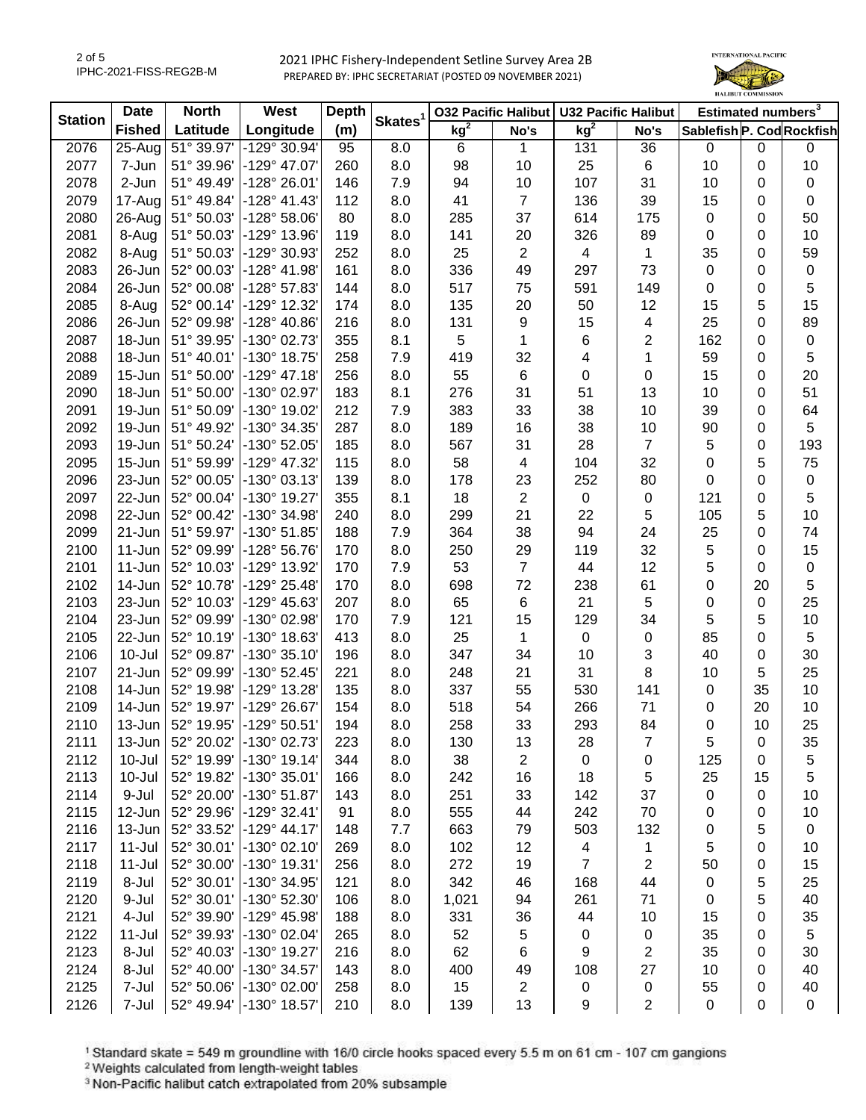

| <b>Station</b> | <b>Date</b>   | <b>North</b>      | West                  | <b>Depth</b> | Skates <sup>1</sup> |                 |                | 032 Pacific Halibut   U32 Pacific Halibut |                         | Estimated numbers <sup>3</sup> |             |             |
|----------------|---------------|-------------------|-----------------------|--------------|---------------------|-----------------|----------------|-------------------------------------------|-------------------------|--------------------------------|-------------|-------------|
|                | <b>Fished</b> | Latitude          | Longitude             | (m)          |                     | kg <sup>2</sup> | No's           | kg <sup>2</sup>                           | No's                    | Sablefish P. Cod Rockfish      |             |             |
| 2076           | 25-Aug        | 51° 39.97'        | $-129°30.94'$         | 95           | 8.0                 | 6               | 1              | 131                                       | 36                      | 0                              | $\pmb{0}$   | 0           |
| 2077           | 7-Jun         | 51° 39.96'        | -129° 47.07'          | 260          | 8.0                 | 98              | 10             | 25                                        | 6                       | 10                             | 0           | 10          |
| 2078           | 2-Jun         | 51° 49.49'        | -128° 26.01'          | 146          | 7.9                 | 94              | 10             | 107                                       | 31                      | 10                             | 0           | 0           |
| 2079           | $17 - Aug$    | 51° 49.84'        | $-128° 41.43'$        | 112          | 8.0                 | 41              | $\overline{7}$ | 136                                       | 39                      | 15                             | 0           | 0           |
| 2080           |               | 26-Aug 51° 50.03' | $-128°58.06'$         | 80           | 8.0                 | 285             | 37             | 614                                       | 175                     | 0                              | 0           | 50          |
| 2081           | 8-Aug         | 51° 50.03'        | -129° 13.96'          | 119          | 8.0                 | 141             | 20             | 326                                       | 89                      | 0                              | 0           | 10          |
| 2082           | 8-Aug         | 51° 50.03'        | -129° 30.93'          | 252          | 8.0                 | 25              | $\mathbf{2}$   | $\overline{4}$                            | $\mathbf 1$             | 35                             | 0           | 59          |
| 2083           | 26-Jun        | 52° 00.03'        | $-128° 41.98'$        | 161          | 8.0                 | 336             | 49             | 297                                       | 73                      | 0                              | 0           | $\pmb{0}$   |
| 2084           | 26-Jun        | 52° 00.08'        | -128° 57.83'          | 144          | 8.0                 | 517             | 75             | 591                                       | 149                     | $\pmb{0}$                      | 0           | 5           |
| 2085           | 8-Aug         | 52° 00.14'        | -129° 12.32'          | 174          | 8.0                 | 135             | 20             | 50                                        | 12                      | 15                             | 5           | 15          |
| 2086           | 26-Jun        | 52° 09.98'        | -128° 40.86'          | 216          | 8.0                 | 131             | 9              | 15                                        | $\overline{\mathbf{4}}$ | 25                             | 0           | 89          |
| 2087           | 18-Jun        | 51° 39.95'        | -130° 02.73'          | 355          | 8.1                 | 5               | 1              | 6                                         | $\overline{2}$          | 162                            | 0           | $\mathsf 0$ |
| 2088           | 18-Jun        | 51° 40.01'        | -130° 18.75'          | 258          | 7.9                 | 419             | 32             | 4                                         | 1                       | 59                             | 0           | 5           |
| 2089           | 15-Jun        | 51° 50.00'        | $-129°$ 47.18'        | 256          | 8.0                 | 55              | 6              | 0                                         | 0                       | 15                             | 0           | 20          |
| 2090           | 18-Jun        | 51° 50.00'        | -130° 02.97'          | 183          | 8.1                 | 276             | 31             | 51                                        | 13                      | 10                             | 0           | 51          |
| 2091           | 19-Jun        | 51° 50.09'        | -130° 19.02'          | 212          | 7.9                 | 383             | 33             | 38                                        | 10                      | 39                             | 0           | 64          |
| 2092           | 19-Jun        | 51° 49.92'        | -130° 34.35'          | 287          | 8.0                 | 189             | 16             | 38                                        | 10                      | 90                             | 0           | 5           |
| 2093           | 19-Jun        | 51° 50.24'        | -130° 52.05'          | 185          | 8.0                 | 567             | 31             | 28                                        | $\overline{7}$          | 5                              | 0           | 193         |
| 2095           | 15-Jun        | 51° 59.99'        | -129° 47.32'          | 115          | 8.0                 | 58              | $\overline{4}$ | 104                                       | 32                      | 0                              | 5           | 75          |
| 2096           | 23-Jun        | 52° 00.05'        | -130° 03.13'          | 139          | 8.0                 | 178             | 23             | 252                                       | 80                      | 0                              | 0           | $\mathsf 0$ |
| 2097           | 22-Jun        | 52° 00.04'        | -130° 19.27'          | 355          | 8.1                 | 18              | $\overline{2}$ | 0                                         | $\mathbf 0$             | 121                            | 0           | 5           |
| 2098           | 22-Jun        | 52° 00.42'        | -130° 34.98'          | 240          | 8.0                 | 299             | 21             | 22                                        | 5                       | 105                            | 5           | 10          |
| 2099           | 21-Jun        | 51° 59.97'        | -130° 51.85'          | 188          | 7.9                 | 364             | 38             | 94                                        | 24                      | 25                             | 0           | 74          |
| 2100           | $11 - Jun$    | 52° 09.99'        | -128° 56.76'          | 170          | 8.0                 | 250             | 29             | 119                                       | 32                      | 5                              | 0           | 15          |
| 2101           | 11-Jun        | 52° 10.03'        | -129° 13.92'          | 170          | 7.9                 | 53              | $\overline{7}$ | 44                                        | 12                      | 5                              | 0           | 0           |
| 2102           | 14-Jun        | 52° 10.78'        | -129° 25.48'          | 170          | 8.0                 | 698             | 72             | 238                                       | 61                      | 0                              | 20          | 5           |
| 2103           | 23-Jun        | 52° 10.03'        | -129° 45.63'          | 207          | 8.0                 | 65              | 6              | 21                                        | 5                       | $\mathbf 0$                    | 0           | 25          |
| 2104           | 23-Jun        | 52° 09.99'        | -130° 02.98'          | 170          | 7.9                 | 121             | 15             | 129                                       | 34                      | 5                              | 5           | 10          |
| 2105           | 22-Jun        | 52° 10.19'        | -130° 18.63'          | 413          | 8.0                 | 25              | 1              | 0                                         | $\mathbf 0$             | 85                             | 0           | 5           |
| 2106           | 10-Jul        | 52° 09.87'        | -130° 35.10'          | 196          | 8.0                 | 347             | 34             | 10                                        | 3                       | 40                             | 0           | 30          |
| 2107           | 21-Jun        | 52° 09.99'        | -130° 52.45'          | 221          | 8.0                 | 248             | 21             | 31                                        | 8                       | 10                             | 5           | 25          |
| 2108           | 14-Jun        | 52° 19.98'        | -129° 13.28'          | 135          | 8.0                 | 337             | 55             | 530                                       | 141                     | 0                              | 35          | 10          |
| 2109           | 14-Jun        | 52° 19.97'        | -129° 26.67'          | 154          | 8.0                 | 518             | 54             | 266                                       | 71                      | 0                              | 20          | 10          |
| 2110           | 13-Jun        | 52° 19.95'        | -129° 50.51'          | 194          | 8.0                 | 258             | 33             | 293                                       | 84                      | 0                              | 10          | 25          |
| 2111           | 13-Jun        | 52° 20.02'        | $-130^{\circ}$ 02.73  | 223          | 8.0                 | 130             | 13             | 28                                        | 7                       | 5                              | 0           | 35          |
| 2112           | 10-Jul        | 52° 19.99'        | $-130^{\circ}$ 19.14' | 344          | 8.0                 | 38              | $\mathbf{2}$   | 0                                         | 0                       | 125                            | 0           | 5           |
| 2113           | $10 -$ Jul    | 52° 19.82'        | -130° 35.01'          | 166          | 8.0                 | 242             | 16             | 18                                        | 5                       | 25                             | 15          | 5           |
| 2114           | 9-Jul         | 52° 20.00'        | -130° 51.87'          | 143          | 8.0                 | 251             | 33             | 142                                       | 37                      | 0                              | 0           | 10          |
| 2115           | 12-Jun        | 52° 29.96'        | $-129°32.41'$         | 91           | 8.0                 | 555             | 44             | 242                                       | 70                      | 0                              | 0           | 10          |
| 2116           | 13-Jun        | 52° 33.52'        | $-129°$ 44.17         | 148          | 7.7                 | 663             | 79             | 503                                       | 132                     | 0                              | 5           | 0           |
| 2117           | $11 -$ Jul    | 52° 30.01'        | $-130^{\circ}$ 02.10' | 269          | 8.0                 | 102             | 12             | 4                                         | 1                       | 5                              | 0           | 10          |
| 2118           | $11 -$ Jul    | 52° 30.00'        | -130° 19.31'          | 256          | 8.0                 | 272             | 19             | $\overline{7}$                            | $\overline{2}$          | 50                             | 0           | 15          |
| 2119           | 8-Jul         | 52° 30.01'        | -130° 34.95'          | 121          | 8.0                 | 342             | 46             | 168                                       | 44                      | 0                              | 5           | 25          |
| 2120           | 9-Jul         | 52° 30.01'        | -130° 52.30'          | 106          | 8.0                 | 1,021           | 94             | 261                                       | 71                      | 0                              | 5           | 40          |
| 2121           | 4-Jul         | 52° 39.90'        | -129° 45.98'          | 188          | 8.0                 | 331             | 36             | 44                                        | 10                      | 15                             | $\mathbf 0$ | 35          |
| 2122           | $11 -$ Jul    | 52° 39.93'        | -130° 02.04'          | 265          | 8.0                 | 52              | $\sqrt{5}$     | 0                                         | $\pmb{0}$               | 35                             | 0           | 5           |
| 2123           | 8-Jul         | 52° 40.03'        | -130° 19.27'          | 216          | 8.0                 | 62              | 6              | 9                                         | $\overline{2}$          | 35                             | 0           | 30          |
| 2124           | 8-Jul         | 52° 40.00'        | -130° 34.57'          | 143          | 8.0                 | 400             | 49             | 108                                       | 27                      | 10                             | 0           | 40          |
| 2125           | 7-Jul         | 52° 50.06'        | -130° 02.00'          | 258          | 8.0                 | 15              | 2              | 0                                         | 0                       | 55                             | 0           | 40          |
| 2126           | 7-Jul         | 52° 49.94'        | -130° 18.57'          | 210          | 8.0                 | 139             | 13             | 9                                         | $\overline{2}$          | $\pmb{0}$                      | 0           | 0           |

<sup>1</sup> Standard skate = 549 m groundline with 16/0 circle hooks spaced every 5.5 m on 61 cm - 107 cm gangions <sup>2</sup> Weights calculated from length-weight tables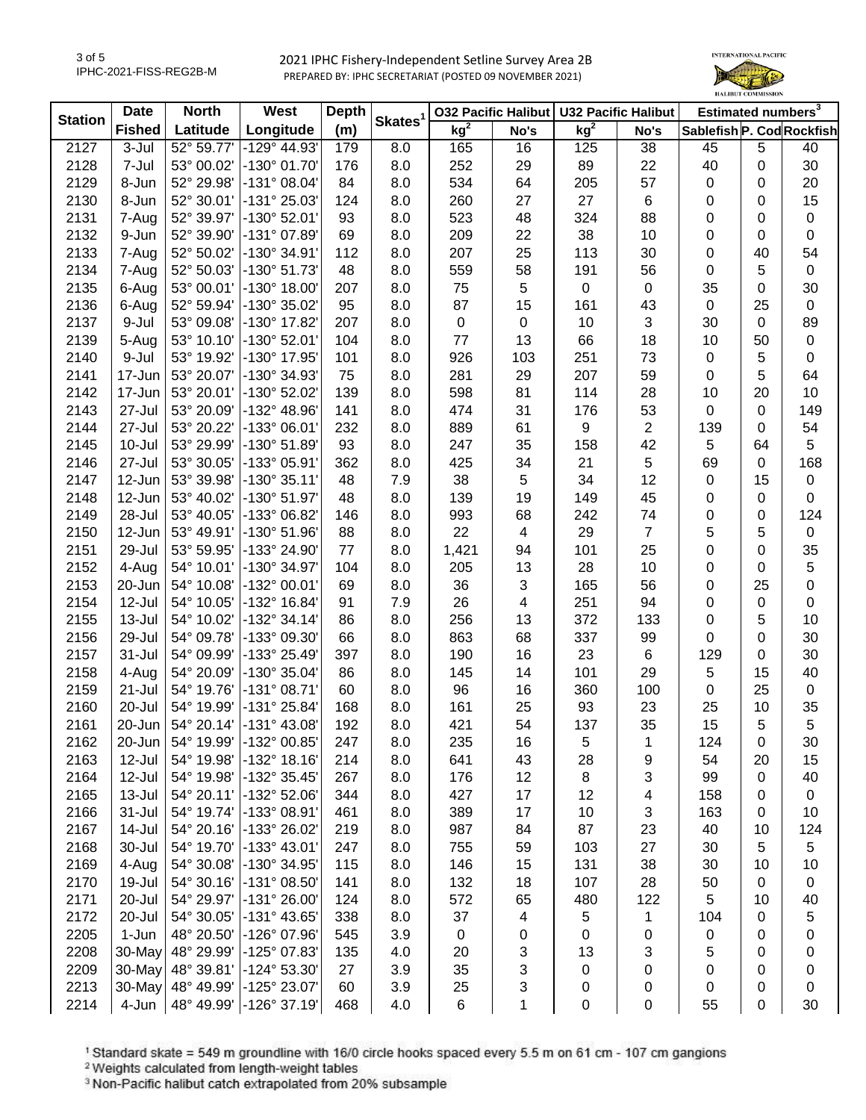

| <b>Station</b> | <b>Date</b>   | <b>North</b> | West                  | <b>Depth</b> | Skates <sup>1</sup> |                 |             | 032 Pacific Halibut   U32 Pacific Halibut |                | Estimated numbers <sup>3</sup> |             |             |
|----------------|---------------|--------------|-----------------------|--------------|---------------------|-----------------|-------------|-------------------------------------------|----------------|--------------------------------|-------------|-------------|
|                | <b>Fished</b> | Latitude     | Longitude             | (m)          |                     | kg <sup>2</sup> | No's        | kg <sup>2</sup>                           | No's           | Sablefish P. Cod Rockfish      |             |             |
| 2127           | 3-Jul         | 52° 59.77'   | $-129^{\circ}$ 44.93' | 179          | 8.0                 | 165             | 16          | 125                                       | 38             | 45                             | 5           | 40          |
| 2128           | 7-Jul         | 53° 00.02'   | -130° 01.70'          | 176          | 8.0                 | 252             | 29          | 89                                        | 22             | 40                             | 0           | 30          |
| 2129           | 8-Jun         | 52° 29.98'   | $-131^{\circ}$ 08.04' | 84           | 8.0                 | 534             | 64          | 205                                       | 57             | $\mathbf 0$                    | 0           | 20          |
| 2130           | 8-Jun         | 52° 30.01'   | -131° 25.03'          | 124          | 8.0                 | 260             | 27          | 27                                        | 6              | 0                              | 0           | 15          |
| 2131           | 7-Aug         | 52° 39.97'   | -130° 52.01'          | 93           | 8.0                 | 523             | 48          | 324                                       | 88             | 0                              | 0           | $\pmb{0}$   |
| 2132           | 9-Jun         | 52° 39.90'   | -131° 07.89'          | 69           | 8.0                 | 209             | 22          | 38                                        | 10             | 0                              | 0           | $\pmb{0}$   |
| 2133           | 7-Aug         | 52° 50.02'   | -130° 34.91'          | 112          | 8.0                 | 207             | 25          | 113                                       | 30             | 0                              | 40          | 54          |
| 2134           | 7-Aug         | 52° 50.03'   | -130° 51.73'          | 48           | 8.0                 | 559             | 58          | 191                                       | 56             | 0                              | 5           | $\pmb{0}$   |
| 2135           | 6-Aug         | 53° 00.01'   | $-130^{\circ}$ 18.00' | 207          | 8.0                 | 75              | 5           | $\pmb{0}$                                 | 0              | 35                             | 0           | 30          |
| 2136           | 6-Aug         | 52° 59.94'   | -130° 35.02'          | 95           | 8.0                 | 87              | 15          | 161                                       | 43             | $\mathbf 0$                    | 25          | $\pmb{0}$   |
| 2137           | 9-Jul         | 53° 09.08'   | -130° 17.82'          | 207          | 8.0                 | $\mathbf 0$     | $\mathbf 0$ | 10                                        | 3              | 30                             | 0           | 89          |
| 2139           | 5-Aug         | 53° 10.10'   | $-130^{\circ}$ 52.01  | 104          | 8.0                 | 77              | 13          | 66                                        | 18             | 10                             | 50          | $\pmb{0}$   |
| 2140           | 9-Jul         | 53° 19.92'   | -130° 17.95'          | 101          | 8.0                 | 926             | 103         | 251                                       | 73             | $\mathbf 0$                    | 5           | $\pmb{0}$   |
| 2141           | 17-Jun        | 53° 20.07'   | -130° 34.93'          | 75           | 8.0                 | 281             | 29          | 207                                       | 59             | $\pmb{0}$                      | 5           | 64          |
| 2142           | 17-Jun        | 53° 20.01'   | -130° 52.02'          | 139          | 8.0                 | 598             | 81          | 114                                       | 28             | 10                             | 20          | 10          |
| 2143           | 27-Jul        | 53° 20.09'   | -132° 48.96'          | 141          | 8.0                 | 474             | 31          | 176                                       | 53             | 0                              | 0           | 149         |
| 2144           | 27-Jul        | 53° 20.22'   | -133° 06.01'          | 232          | 8.0                 | 889             | 61          | 9                                         | $\overline{2}$ | 139                            | 0           | 54          |
| 2145           | 10-Jul        | 53° 29.99'   | $-130^{\circ} 51.89'$ | 93           | 8.0                 | 247             | 35          | 158                                       | 42             | 5                              | 64          | 5           |
| 2146           | 27-Jul        | 53° 30.05'   | -133° 05.91'          | 362          | 8.0                 | 425             | 34          | 21                                        | 5              | 69                             | 0           | 168         |
| 2147           | 12-Jun        | 53° 39.98'   | -130° 35.11'          | 48           | 7.9                 | 38              | 5           | 34                                        | 12             | $\mathbf 0$                    | 15          | $\pmb{0}$   |
| 2148           | 12-Jun        | 53° 40.02'   | -130° 51.97'          | 48           | 8.0                 | 139             | 19          | 149                                       | 45             | 0                              | $\mathbf 0$ | 0           |
| 2149           | 28-Jul        | 53° 40.05'   | -133° 06.82'          | 146          | 8.0                 | 993             | 68          | 242                                       | 74             | 0                              | 0           | 124         |
| 2150           | 12-Jun        | 53° 49.91'   | -130° 51.96'          | 88           | 8.0                 | 22              | 4           | 29                                        | $\overline{7}$ | 5                              | 5           | $\pmb{0}$   |
| 2151           | 29-Jul        | 53° 59.95'   | -133° 24.90'          | 77           | 8.0                 | 1,421           | 94          | 101                                       | 25             | 0                              | 0           | 35          |
| 2152           | 4-Aug         | 54° 10.01'   | $\vert$ -130° 34.97'  | 104          | 8.0                 | 205             | 13          | 28                                        | 10             | 0                              | $\Omega$    | $\mathbf 5$ |
| 2153           | $20$ -Jun     | 54° 10.08'   | -132° 00.01'          | 69           | 8.0                 | 36              | 3           | 165                                       | 56             | 0                              | 25          | $\mathbf 0$ |
| 2154           | 12-Jul        | 54° 10.05'   | -132° 16.84'          | 91           | 7.9                 | 26              | 4           | 251                                       | 94             | 0                              | 0           | $\pmb{0}$   |
| 2155           | 13-Jul        | 54° 10.02'   | -132° 34.14'          | 86           | 8.0                 | 256             | 13          | 372                                       | 133            | 0                              | 5           | 10          |
| 2156           | 29-Jul        | 54° 09.78'   | -133° 09.30'          | 66           | 8.0                 | 863             | 68          | 337                                       | 99             | 0                              | $\mathbf 0$ | 30          |
| 2157           | 31-Jul        | 54° 09.99'   | -133° 25.49'          | 397          | 8.0                 | 190             | 16          | 23                                        | 6              | 129                            | $\mathbf 0$ | 30          |
| 2158           | 4-Aug         | 54° 20.09'   | -130° 35.04'          | 86           | 8.0                 | 145             | 14          | 101                                       | 29             | 5                              | 15          | 40          |
| 2159           | 21-Jul        | 54° 19.76'   | $-131°08.71'$         | 60           | 8.0                 | 96              | 16          | 360                                       | 100            | 0                              | 25          | $\mathbf 0$ |
| 2160           | 20-Jul        | 54° 19.99'   | -131° 25.84'          | 168          | 8.0                 | 161             | 25          | 93                                        | 23             | 25                             | 10          | 35          |
| 2161           | 20-Jun        | 54° 20.14'   | -131° 43.08'          | 192          | 8.0                 | 421             | 54          | 137                                       | 35             | 15                             | 5           | 5           |
| 2162           | $20$ -Jun     | 54° 19.99'   | -132° 00.85'          | 247          | 8.0                 | 235             | 16          | 5                                         | 1              | 124                            | 0           | 30          |
| 2163           | 12-Jul        | 54° 19.98'   | $-132^{\circ}$ 18.16  | 214          | 8.0                 | 641             | 43          | 28                                        | 9              | 54                             | 20          | 15          |
| 2164           | 12-Jul        | 54° 19.98'   | -132° 35.45'          | 267          | 8.0                 | 176             | 12          | 8                                         | 3              | 99                             | 0           | 40          |
| 2165           | 13-Jul        | 54° 20.11'   | $-132°52.06'$         | 344          | 8.0                 | 427             | 17          | 12                                        | 4              | 158                            | 0           | $\pmb{0}$   |
| 2166           | 31-Jul        | 54° 19.74'   | -133° 08.91'          | 461          | 8.0                 | 389             | 17          | 10                                        | 3              | 163                            | 0           | 10          |
| 2167           | 14-Jul        | 54° 20.16'   | -133° 26.02'          | 219          | 8.0                 | 987             | 84          | 87                                        | 23             | 40                             | 10          | 124         |
| 2168           | 30-Jul        | 54° 19.70'   | $-133^{\circ}$ 43.01  | 247          | 8.0                 | 755             | 59          | 103                                       | 27             | 30                             | 5           | 5           |
| 2169           | 4-Aug         | 54° 30.08'   | $\vert$ -130° 34.95'  | 115          | 8.0                 | 146             | 15          | 131                                       | 38             | 30                             | 10          | 10          |
| 2170           | 19-Jul        | 54° 30.16'   | $-131°08.50'$         | 141          | 8.0                 | 132             | 18          | 107                                       | 28             | 50                             | 0           | $\pmb{0}$   |
| 2171           | 20-Jul        | 54° 29.97'   | $-131°26.00'$         | 124          | 8.0                 | 572             | 65          | 480                                       | 122            | 5                              | 10          | 40          |
| 2172           | 20-Jul        | 54° 30.05'   | -131° 43.65'          | 338          | 8.0                 | 37              | 4           | $\,$ 5 $\,$                               | 1              | 104                            | $\mathbf 0$ | 5           |
| 2205           | 1-Jun         | 48° 20.50'   | $-126^{\circ}$ 07.96  | 545          | 3.9                 | $\mathbf 0$     | 0           | $\mathbf 0$                               | 0              | 0                              | 0           | 0           |
| 2208           | $30$ -May     | 48° 29.99'   | -125° 07.83'          | 135          | 4.0                 | 20              | 3           | 13                                        | 3              | 5                              | 0           | 0           |
| 2209           | 30-May        | 48° 39.81'   | $-124^{\circ} 53.30'$ | 27           | 3.9                 | 35              | 3           | 0                                         | 0              | 0                              | 0           | 0           |
| 2213           | $30$ -May     | 48° 49.99'   | -125° 23.07'          | 60           | 3.9                 | 25              | 3           | 0                                         | 0              | 0                              | 0           | 0           |
| 2214           | 4-Jun         | 48° 49.99'   | $-126°37.19'$         | 468          | 4.0                 | 6               | 1           | 0                                         | 0              | 55                             | 0           | 30          |
|                |               |              |                       |              |                     |                 |             |                                           |                |                                |             |             |

<sup>1</sup> Standard skate = 549 m groundline with 16/0 circle hooks spaced every 5.5 m on 61 cm - 107 cm gangions <sup>2</sup> Weights calculated from length-weight tables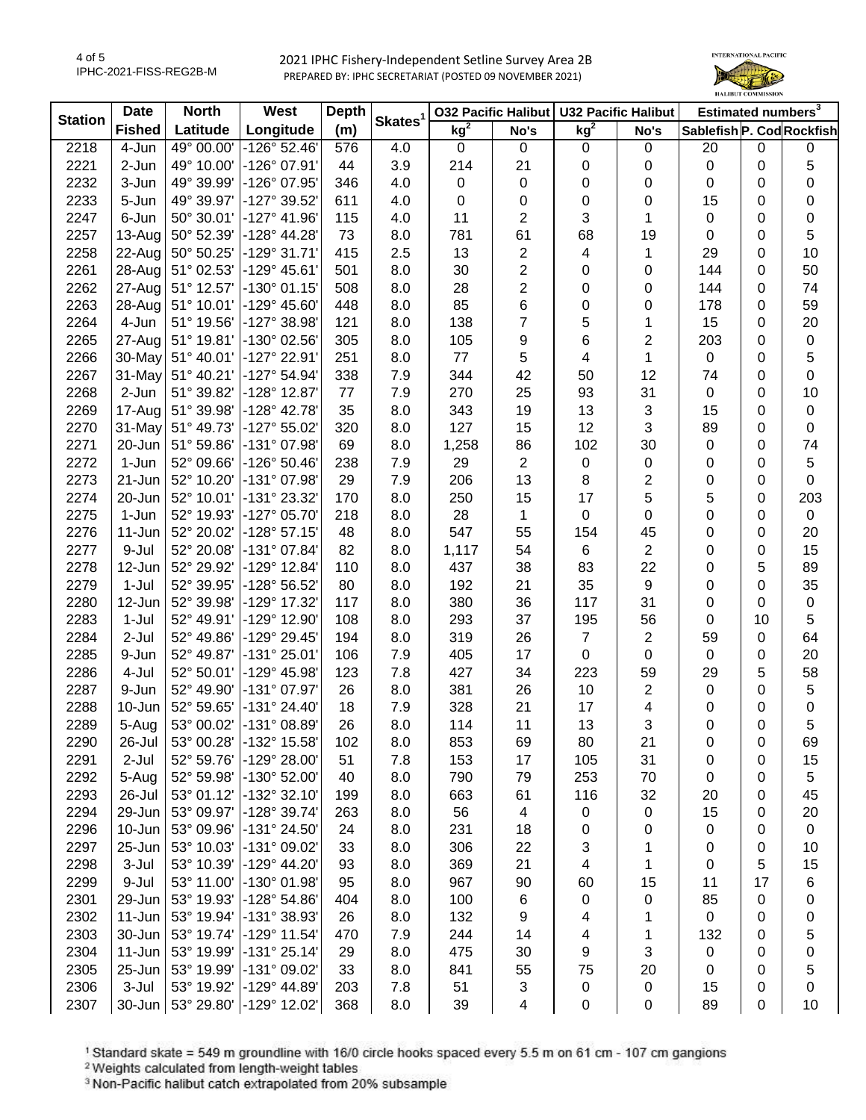4 of 5 IPHC-2021-FISS-REG2B-M



| <b>Station</b> | <b>Date</b>   | <b>North</b> | <b>West</b>           | <b>Depth</b> |                     | <b>032 Pacific Halibut</b> |                          | U32 Pacific Halibut |                | Estimated numbers <sup>3</sup> |    |             |
|----------------|---------------|--------------|-----------------------|--------------|---------------------|----------------------------|--------------------------|---------------------|----------------|--------------------------------|----|-------------|
|                | <b>Fished</b> | Latitude     | Longitude             | (m)          | Skates <sup>1</sup> | kg <sup>2</sup>            | No's                     | kg <sup>2</sup>     | No's           | Sablefish P. Cod Rockfish      |    |             |
| 2218           | 4-Jun         | 49° 00.00    | $-126^{\circ}$ 52.46  | 576          | 4.0                 | 0                          | $\mathbf 0$              | $\mathbf 0$         | $\mathbf 0$    | 20                             | 0  | 0           |
| 2221           | 2-Jun         | 49° 10.00'   | -126° 07.91'          | 44           | 3.9                 | 214                        | 21                       | 0                   | 0              | 0                              | 0  | 5           |
| 2232           | 3-Jun         | 49° 39.99'   | -126° 07.95'          | 346          | 4.0                 | 0                          | 0                        | 0                   | 0              | 0                              | 0  | 0           |
| 2233           | 5-Jun         | 49° 39.97'   | -127° 39.52'          | 611          | 4.0                 | 0                          | 0                        | 0                   | 0              | 15                             | 0  | 0           |
| 2247           | 6-Jun         | 50° 30.01'   | $-127°$ 41.96         | 115          | 4.0                 | 11                         | $\mathbf{2}$             | 3                   | 1              | 0                              | 0  | $\pmb{0}$   |
| 2257           | $13-Auq$      | 50° 52.39'   | $-128° 44.28'$        | 73           | 8.0                 | 781                        | 61                       | 68                  | 19             | 0                              | 0  | 5           |
| 2258           | 22-Aug        | 50° 50.25'   | $-129°31.71'$         | 415          | 2.5                 | 13                         | $\overline{2}$           | 4                   | 1              | 29                             | 0  | 10          |
| 2261           | 28-Aug        | 51° 02.53'   | $-129°$ 45.61'        | 501          | 8.0                 | 30                         | $\overline{c}$           | 0                   | 0              | 144                            | 0  | 50          |
| 2262           | 27-Aug        | 51° 12.57'   | $-130^{\circ}$ 01.15' | 508          | 8.0                 | 28                         | $\overline{2}$           | 0                   | 0              | 144                            | 0  | 74          |
| 2263           | 28-Aug        | 51° 10.01'   | $-129^{\circ}$ 45.60' | 448          | 8.0                 | 85                         | 6                        | 0                   | 0              | 178                            | 0  | 59          |
| 2264           | 4-Jun         | 51° 19.56'   | -127° 38.98'          | 121          | 8.0                 | 138                        | $\overline{7}$           | 5                   | 1              | 15                             | 0  | 20          |
| 2265           | 27-Aug        | 51° 19.81'   | -130° 02.56'          | 305          | 8.0                 | 105                        | 9                        | 6                   | 2              | 203                            | 0  | $\pmb{0}$   |
| 2266           | 30-May        | 51° 40.01'   | $-127°$ 22.91'        | 251          | 8.0                 | 77                         | 5                        | 4                   | 1              | 0                              | 0  | 5           |
| 2267           | 31-May        | 51° 40.21'   | $-127°54.94'$         | 338          | 7.9                 | 344                        | 42                       | 50                  | 12             | 74                             | 0  | $\pmb{0}$   |
| 2268           | 2-Jun         | 51° 39.82'   | -128° 12.87'          | 77           | 7.9                 | 270                        | 25                       | 93                  | 31             | 0                              | 0  | 10          |
| 2269           | 17-Aug        | 51° 39.98'   | $-128^\circ$ 42.78'   | 35           | 8.0                 | 343                        | 19                       | 13                  | 3              | 15                             | 0  | $\pmb{0}$   |
| 2270           | 31-May        | 51° 49.73'   | -127° 55.02'          | 320          | 8.0                 | 127                        | 15                       | 12                  | 3              | 89                             | 0  | $\pmb{0}$   |
| 2271           | 20-Jun        | 51° 59.86'   | -131° 07.98'          | 69           | 8.0                 | 1,258                      | 86                       | 102                 | 30             | 0                              | 0  | 74          |
| 2272           | 1-Jun         | 52° 09.66'   | $-126°50.46'$         | 238          | 7.9                 | 29                         | $\overline{2}$           | 0                   | 0              | 0                              | 0  | $\sqrt{5}$  |
| 2273           | 21-Jun        | 52° 10.20'   | -131° 07.98'          | 29           | 7.9                 | 206                        | 13                       | 8                   | 2              | 0                              | 0  | $\mathbf 0$ |
| 2274           | 20-Jun        | 52° 10.01'   | -131° 23.32'          | 170          | 8.0                 | 250                        | 15                       | 17                  | 5              | 5                              | 0  | 203         |
| 2275           | 1-Jun         | 52° 19.93'   | -127° 05.70'          | 218          | 8.0                 | 28                         | 1                        | 0                   | 0              | 0                              | 0  | $\pmb{0}$   |
| 2276           | 11-Jun        | 52° 20.02'   | $-128°57.15'$         | 48           | 8.0                 | 547                        | 55                       | 154                 | 45             | 0                              | 0  | 20          |
| 2277           | 9-Jul         | 52° 20.08'   | -131° 07.84'          | 82           | 8.0                 | 1,117                      | 54                       | 6                   | $\overline{2}$ | 0                              | 0  | 15          |
| 2278           | 12-Jun        | 52° 29.92'   | -129° 12.84'          | 110          | 8.0                 | 437                        | 38                       | 83                  | 22             | 0                              | 5  | 89          |
| 2279           | $1-Jul$       | 52° 39.95'   | -128° 56.52'          | 80           | 8.0                 | 192                        | 21                       | 35                  | 9              | 0                              | 0  | 35          |
| 2280           | 12-Jun        | 52° 39.98'   | -129° 17.32'          | 117          | 8.0                 | 380                        | 36                       | 117                 | 31             | 0                              | 0  | $\pmb{0}$   |
| 2283           | 1-Jul         | 52° 49.91'   | -129° 12.90'          | 108          | 8.0                 | 293                        | 37                       | 195                 | 56             | 0                              | 10 | 5           |
| 2284           | 2-Jul         | 52° 49.86'   | -129° 29.45'          | 194          | 8.0                 | 319                        | 26                       | 7                   | $\overline{2}$ | 59                             | 0  | 64          |
| 2285           | 9-Jun         | 52° 49.87'   | $-131°25.01'$         | 106          | 7.9                 | 405                        | 17                       | 0                   | 0              | 0                              | 0  | 20          |
| 2286           | 4-Jul         | 52° 50.01'   | $-129°$ 45.98'        | 123          | 7.8                 | 427                        | 34                       | 223                 | 59             | 29                             | 5  | 58          |
| 2287           | 9-Jun         | 52° 49.90'   | -131° 07.97'          | 26           | 8.0                 | 381                        | 26                       | 10                  | $\overline{2}$ | 0                              | 0  | $\,$ 5 $\,$ |
| 2288           | 10-Jun        | 52° 59.65'   | -131° 24.40'          | 18           | 7.9                 | 328                        | 21                       | 17                  | 4              | 0                              | 0  | $\mathbf 0$ |
| 2289           | 5-Aug         | 53° 00.02'   | -131° 08.89'          | 26           | 8.0                 | 114                        | 11                       | 13                  | 3              | 0                              | 0  | 5           |
| 2290           | 26-Jul        | 53° 00.28'   | -132° 15.58'          | 102          | 8.0                 | 853                        | 69                       | 80                  | 21             | 0                              | 0  | 69          |
| 2291           | 2-Jul         | 52° 59.76'   | -129° 28.00'          | 51           | 7.8                 | 153                        | 17                       | 105                 | 31             | 0                              | 0  | 15          |
| 2292           | 5-Aug         | 52° 59.98'   | -130° 52.00'          | 40           | 8.0                 | 790                        | 79                       | 253                 | 70             | 0                              | 0  | 5           |
| 2293           | 26-Jul        | 53° 01.12'   | -132° 32.10'          | 199          | 8.0                 | 663                        | 61                       | 116                 | 32             | 20                             | 0  | 45          |
| 2294           | 29-Jun        | 53° 09.97'   | -128° 39.74'          | 263          | 8.0                 | 56                         | 4                        | 0                   | 0              | 15                             | 0  | 20          |
| 2296           | $10 - Jun$    | 53° 09.96'   | -131° 24.50'          | 24           | 8.0                 | 231                        | 18                       | 0                   | 0              | 0                              | 0  | $\pmb{0}$   |
| 2297           | 25-Jun        | 53° 10.03'   | -131° 09.02'          | 33           | 8.0                 | 306                        | 22                       | 3                   | 1              | 0                              | 0  | 10          |
| 2298           | 3-Jul         | 53° 10.39'   | -129° 44.20'          | 93           | 8.0                 | 369                        | 21                       | 4                   | 1              | 0                              | 5  | 15          |
| 2299           | 9-Jul         | 53° 11.00'   | -130° 01.98'          | 95           | 8.0                 | 967                        | 90                       | 60                  | 15             | 11                             | 17 | 6           |
| 2301           | 29-Jun        | 53° 19.93'   | -128° 54.86'          | 404          | 8.0                 | 100                        | 6                        | 0                   | 0              | 85                             | 0  | 0           |
| 2302           | 11-Jun        | 53° 19.94'   | -131° 38.93'          | 26           | 8.0                 | 132                        | 9                        | 4                   | 1              | 0                              | 0  | $\mathbf 0$ |
| 2303           | 30-Jun        | 53° 19.74'   | -129° 11.54'          | 470          | 7.9                 | 244                        | 14                       | 4                   | 1              | 132                            | 0  | 5           |
| 2304           | $11 - Jun$    | 53° 19.99'   | $-131°25.14'$         | 29           | 8.0                 | 475                        | 30                       | 9                   | 3              | 0                              | 0  | 0           |
| 2305           | 25-Jun        | 53° 19.99'   | -131° 09.02'          | 33           | 8.0                 | 841                        | 55                       | 75                  | 20             | 0                              | 0  | 5           |
| 2306           | 3-Jul         | 53° 19.92'   | -129° 44.89'          | 203          | 7.8                 | 51                         | 3                        | 0                   | 0              | 15                             | 0  | 0           |
| 2307           | 30-Jun        | 53° 29.80'   | -129° 12.02'          | 368          | 8.0                 | 39                         | $\overline{\mathcal{A}}$ | 0                   | 0              | 89                             | 0  | 10          |

<sup>1</sup> Standard skate = 549 m groundline with 16/0 circle hooks spaced every 5.5 m on 61 cm - 107 cm gangions <sup>2</sup> Weights calculated from length-weight tables